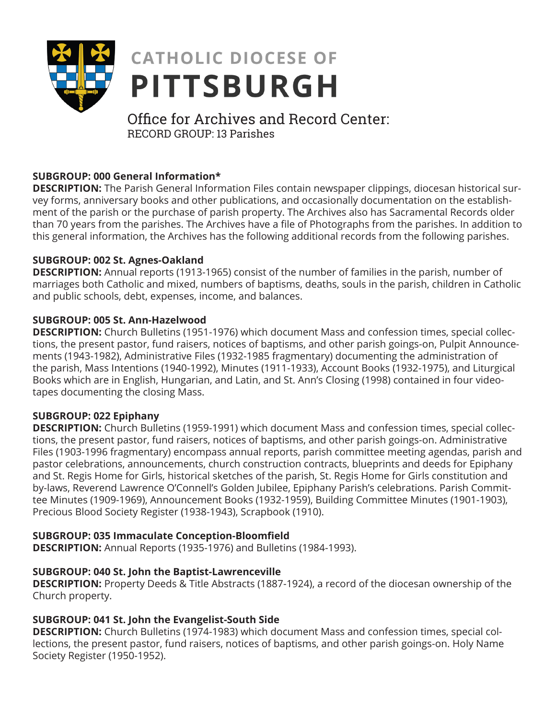

# **CATHOLIC DIOCESE OF PITTSBURGH**

## Office for Archives and Record Center: RECORD GROUP: 13 Parishes

## **SUBGROUP: 000 General Information\***

**DESCRIPTION:** The Parish General Information Files contain newspaper clippings, diocesan historical survey forms, anniversary books and other publications, and occasionally documentation on the establishment of the parish or the purchase of parish property. The Archives also has Sacramental Records older than 70 years from the parishes. The Archives have a file of Photographs from the parishes. In addition to this general information, the Archives has the following additional records from the following parishes.

## **SUBGROUP: 002 St. Agnes-Oakland**

**DESCRIPTION:** Annual reports (1913-1965) consist of the number of families in the parish, number of marriages both Catholic and mixed, numbers of baptisms, deaths, souls in the parish, children in Catholic and public schools, debt, expenses, income, and balances.

## **SUBGROUP: 005 St. Ann-Hazelwood**

**DESCRIPTION:** Church Bulletins (1951-1976) which document Mass and confession times, special collections, the present pastor, fund raisers, notices of baptisms, and other parish goings-on, Pulpit Announcements (1943-1982), Administrative Files (1932-1985 fragmentary) documenting the administration of the parish, Mass Intentions (1940-1992), Minutes (1911-1933), Account Books (1932-1975), and Liturgical Books which are in English, Hungarian, and Latin, and St. Ann's Closing (1998) contained in four videotapes documenting the closing Mass.

## **SUBGROUP: 022 Epiphany**

**DESCRIPTION:** Church Bulletins (1959-1991) which document Mass and confession times, special collections, the present pastor, fund raisers, notices of baptisms, and other parish goings-on. Administrative Files (1903-1996 fragmentary) encompass annual reports, parish committee meeting agendas, parish and pastor celebrations, announcements, church construction contracts, blueprints and deeds for Epiphany and St. Regis Home for Girls, historical sketches of the parish, St. Regis Home for Girls constitution and by-laws, Reverend Lawrence O'Connell's Golden Jubilee, Epiphany Parish's celebrations. Parish Committee Minutes (1909-1969), Announcement Books (1932-1959), Building Committee Minutes (1901-1903), Precious Blood Society Register (1938-1943), Scrapbook (1910).

## **SUBGROUP: 035 Immaculate Conception-Bloomfield**

**DESCRIPTION:** Annual Reports (1935-1976) and Bulletins (1984-1993).

## **SUBGROUP: 040 St. John the Baptist-Lawrenceville**

**DESCRIPTION:** Property Deeds & Title Abstracts (1887-1924), a record of the diocesan ownership of the Church property.

## **SUBGROUP: 041 St. John the Evangelist-South Side**

**DESCRIPTION:** Church Bulletins (1974-1983) which document Mass and confession times, special collections, the present pastor, fund raisers, notices of baptisms, and other parish goings-on. Holy Name Society Register (1950-1952).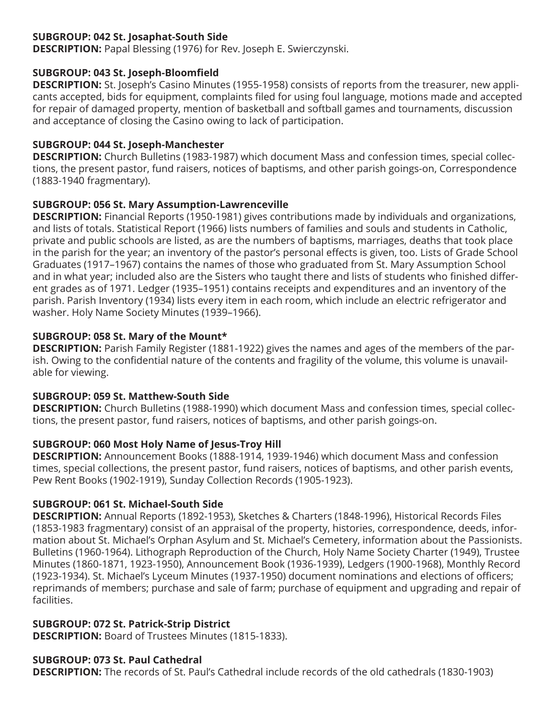#### **SUBGROUP: 042 St. Josaphat-South Side**

**DESCRIPTION:** Papal Blessing (1976) for Rev. Joseph E. Swierczynski.

#### **SUBGROUP: 043 St. Joseph-Bloomfield**

**DESCRIPTION:** St. Joseph's Casino Minutes (1955-1958) consists of reports from the treasurer, new applicants accepted, bids for equipment, complaints filed for using foul language, motions made and accepted for repair of damaged property, mention of basketball and softball games and tournaments, discussion and acceptance of closing the Casino owing to lack of participation.

#### **SUBGROUP: 044 St. Joseph-Manchester**

**DESCRIPTION:** Church Bulletins (1983-1987) which document Mass and confession times, special collections, the present pastor, fund raisers, notices of baptisms, and other parish goings-on, Correspondence (1883-1940 fragmentary).

#### **SUBGROUP: 056 St. Mary Assumption-Lawrenceville**

**DESCRIPTION:** Financial Reports (1950-1981) gives contributions made by individuals and organizations, and lists of totals. Statistical Report (1966) lists numbers of families and souls and students in Catholic, private and public schools are listed, as are the numbers of baptisms, marriages, deaths that took place in the parish for the year; an inventory of the pastor's personal effects is given, too. Lists of Grade School Graduates (1917–1967) contains the names of those who graduated from St. Mary Assumption School and in what year; included also are the Sisters who taught there and lists of students who finished different grades as of 1971. Ledger (1935–1951) contains receipts and expenditures and an inventory of the parish. Parish Inventory (1934) lists every item in each room, which include an electric refrigerator and washer. Holy Name Society Minutes (1939–1966).

#### **SUBGROUP: 058 St. Mary of the Mount\***

**DESCRIPTION:** Parish Family Register (1881-1922) gives the names and ages of the members of the parish. Owing to the confidential nature of the contents and fragility of the volume, this volume is unavailable for viewing.

## **SUBGROUP: 059 St. Matthew-South Side**

**DESCRIPTION:** Church Bulletins (1988-1990) which document Mass and confession times, special collections, the present pastor, fund raisers, notices of baptisms, and other parish goings-on.

## **SUBGROUP: 060 Most Holy Name of Jesus-Troy Hill**

**DESCRIPTION:** Announcement Books (1888-1914, 1939-1946) which document Mass and confession times, special collections, the present pastor, fund raisers, notices of baptisms, and other parish events, Pew Rent Books (1902-1919), Sunday Collection Records (1905-1923).

#### **SUBGROUP: 061 St. Michael-South Side**

**DESCRIPTION:** Annual Reports (1892-1953), Sketches & Charters (1848-1996), Historical Records Files (1853-1983 fragmentary) consist of an appraisal of the property, histories, correspondence, deeds, information about St. Michael's Orphan Asylum and St. Michael's Cemetery, information about the Passionists. Bulletins (1960-1964). Lithograph Reproduction of the Church, Holy Name Society Charter (1949), Trustee Minutes (1860-1871, 1923-1950), Announcement Book (1936-1939), Ledgers (1900-1968), Monthly Record (1923-1934). St. Michael's Lyceum Minutes (1937-1950) document nominations and elections of officers; reprimands of members; purchase and sale of farm; purchase of equipment and upgrading and repair of facilities.

## **SUBGROUP: 072 St. Patrick-Strip District**

**DESCRIPTION:** Board of Trustees Minutes (1815-1833).

#### **SUBGROUP: 073 St. Paul Cathedral**

**DESCRIPTION:** The records of St. Paul's Cathedral include records of the old cathedrals (1830-1903)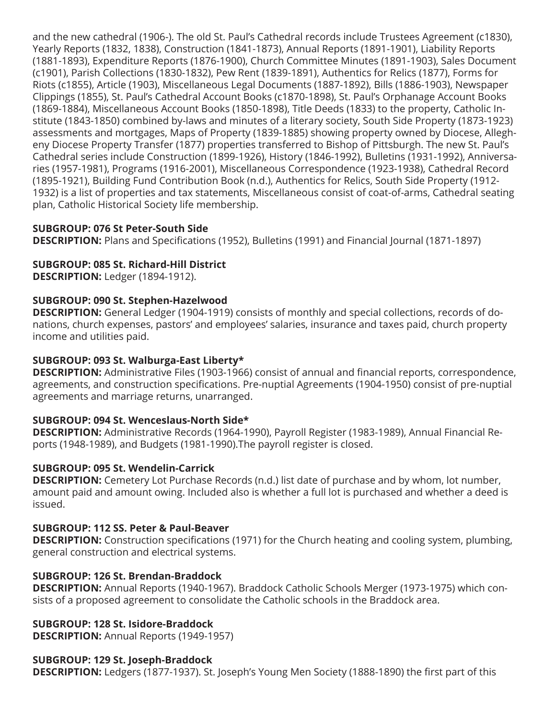and the new cathedral (1906-). The old St. Paul's Cathedral records include Trustees Agreement (c1830), Yearly Reports (1832, 1838), Construction (1841-1873), Annual Reports (1891-1901), Liability Reports (1881-1893), Expenditure Reports (1876-1900), Church Committee Minutes (1891-1903), Sales Document (c1901), Parish Collections (1830-1832), Pew Rent (1839-1891), Authentics for Relics (1877), Forms for Riots (c1855), Article (1903), Miscellaneous Legal Documents (1887-1892), Bills (1886-1903), Newspaper Clippings (1855), St. Paul's Cathedral Account Books (c1870-1898), St. Paul's Orphanage Account Books (1869-1884), Miscellaneous Account Books (1850-1898), Title Deeds (1833) to the property, Catholic Institute (1843-1850) combined by-laws and minutes of a literary society, South Side Property (1873-1923) assessments and mortgages, Maps of Property (1839-1885) showing property owned by Diocese, Allegheny Diocese Property Transfer (1877) properties transferred to Bishop of Pittsburgh. The new St. Paul's Cathedral series include Construction (1899-1926), History (1846-1992), Bulletins (1931-1992), Anniversaries (1957-1981), Programs (1916-2001), Miscellaneous Correspondence (1923-1938), Cathedral Record (1895-1921), Building Fund Contribution Book (n.d.), Authentics for Relics, South Side Property (1912- 1932) is a list of properties and tax statements, Miscellaneous consist of coat-of-arms, Cathedral seating plan, Catholic Historical Society life membership.

#### **SUBGROUP: 076 St Peter-South Side**

**DESCRIPTION:** Plans and Specifications (1952), Bulletins (1991) and Financial Journal (1871-1897)

#### **SUBGROUP: 085 St. Richard-Hill District**

**DESCRIPTION:** Ledger (1894-1912).

#### **SUBGROUP: 090 St. Stephen-Hazelwood**

**DESCRIPTION:** General Ledger (1904-1919) consists of monthly and special collections, records of donations, church expenses, pastors' and employees' salaries, insurance and taxes paid, church property income and utilities paid.

#### **SUBGROUP: 093 St. Walburga-East Liberty\***

**DESCRIPTION:** Administrative Files (1903-1966) consist of annual and financial reports, correspondence, agreements, and construction specifications. Pre-nuptial Agreements (1904-1950) consist of pre-nuptial agreements and marriage returns, unarranged.

#### **SUBGROUP: 094 St. Wenceslaus-North Side\***

**DESCRIPTION:** Administrative Records (1964-1990), Payroll Register (1983-1989), Annual Financial Reports (1948-1989), and Budgets (1981-1990).The payroll register is closed.

#### **SUBGROUP: 095 St. Wendelin-Carrick**

**DESCRIPTION:** Cemetery Lot Purchase Records (n.d.) list date of purchase and by whom, lot number, amount paid and amount owing. Included also is whether a full lot is purchased and whether a deed is issued.

#### **SUBGROUP: 112 SS. Peter & Paul-Beaver**

**DESCRIPTION:** Construction specifications (1971) for the Church heating and cooling system, plumbing, general construction and electrical systems.

#### **SUBGROUP: 126 St. Brendan-Braddock**

**DESCRIPTION:** Annual Reports (1940-1967). Braddock Catholic Schools Merger (1973-1975) which consists of a proposed agreement to consolidate the Catholic schools in the Braddock area.

## **SUBGROUP: 128 St. Isidore-Braddock**

**DESCRIPTION:** Annual Reports (1949-1957)

#### **SUBGROUP: 129 St. Joseph-Braddock**

**DESCRIPTION:** Ledgers (1877-1937). St. Joseph's Young Men Society (1888-1890) the first part of this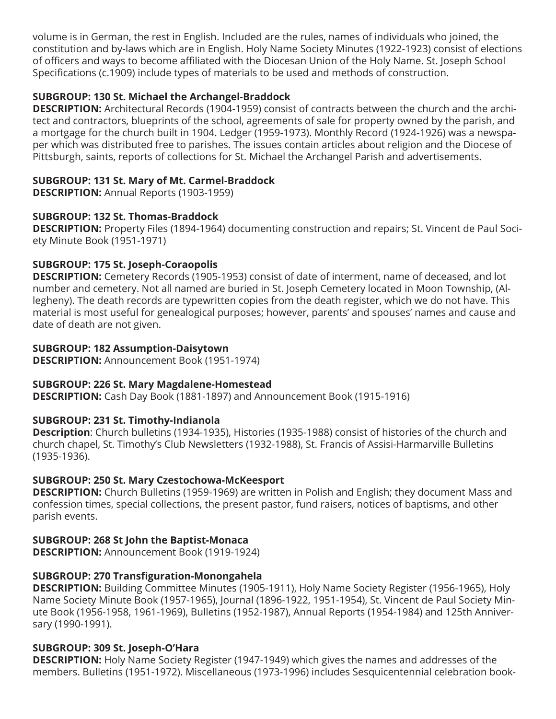volume is in German, the rest in English. Included are the rules, names of individuals who joined, the constitution and by-laws which are in English. Holy Name Society Minutes (1922-1923) consist of elections of officers and ways to become affiliated with the Diocesan Union of the Holy Name. St. Joseph School Specifications (c.1909) include types of materials to be used and methods of construction.

## **SUBGROUP: 130 St. Michael the Archangel-Braddock**

**DESCRIPTION:** Architectural Records (1904-1959) consist of contracts between the church and the architect and contractors, blueprints of the school, agreements of sale for property owned by the parish, and a mortgage for the church built in 1904. Ledger (1959-1973). Monthly Record (1924-1926) was a newspaper which was distributed free to parishes. The issues contain articles about religion and the Diocese of Pittsburgh, saints, reports of collections for St. Michael the Archangel Parish and advertisements.

#### **SUBGROUP: 131 St. Mary of Mt. Carmel-Braddock**

**DESCRIPTION:** Annual Reports (1903-1959)

#### **SUBGROUP: 132 St. Thomas-Braddock**

**DESCRIPTION:** Property Files (1894-1964) documenting construction and repairs; St. Vincent de Paul Society Minute Book (1951-1971)

#### **SUBGROUP: 175 St. Joseph-Coraopolis**

**DESCRIPTION:** Cemetery Records (1905-1953) consist of date of interment, name of deceased, and lot number and cemetery. Not all named are buried in St. Joseph Cemetery located in Moon Township, (Allegheny). The death records are typewritten copies from the death register, which we do not have. This material is most useful for genealogical purposes; however, parents' and spouses' names and cause and date of death are not given.

#### **SUBGROUP: 182 Assumption-Daisytown**

**DESCRIPTION:** Announcement Book (1951-1974)

#### **SUBGROUP: 226 St. Mary Magdalene-Homestead**

**DESCRIPTION:** Cash Day Book (1881-1897) and Announcement Book (1915-1916)

#### **SUBGROUP: 231 St. Timothy-Indianola**

**Description**: Church bulletins (1934-1935), Histories (1935-1988) consist of histories of the church and church chapel, St. Timothy's Club Newsletters (1932-1988), St. Francis of Assisi-Harmarville Bulletins (1935-1936).

#### **SUBGROUP: 250 St. Mary Czestochowa-McKeesport**

**DESCRIPTION:** Church Bulletins (1959-1969) are written in Polish and English; they document Mass and confession times, special collections, the present pastor, fund raisers, notices of baptisms, and other parish events.

#### **SUBGROUP: 268 St John the Baptist-Monaca**

**DESCRIPTION:** Announcement Book (1919-1924)

#### **SUBGROUP: 270 Transfiguration-Monongahela**

**DESCRIPTION:** Building Committee Minutes (1905-1911), Holy Name Society Register (1956-1965), Holy Name Society Minute Book (1957-1965), Journal (1896-1922, 1951-1954), St. Vincent de Paul Society Minute Book (1956-1958, 1961-1969), Bulletins (1952-1987), Annual Reports (1954-1984) and 125th Anniversary (1990-1991).

#### **SUBGROUP: 309 St. Joseph-O'Hara**

**DESCRIPTION:** Holy Name Society Register (1947-1949) which gives the names and addresses of the members. Bulletins (1951-1972). Miscellaneous (1973-1996) includes Sesquicentennial celebration book